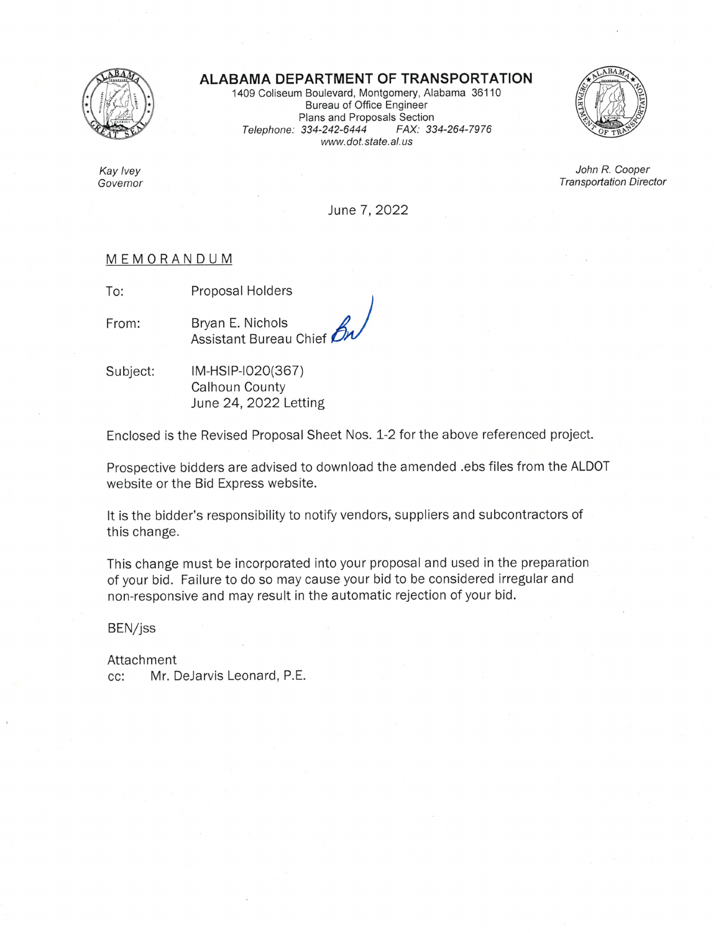

Kay Ivey

Governor

## ALABAMA DEPARTMENT OF TRANSPORTATION

1409 Coliseum Boulevard, Montgomery, Alabama 36110 **Bureau of Office Engineer** Plans and Proposals Section Telephone: 334-242-6444 FAX: 334-264-7976 www.dot.state.al.us



John R. Cooper **Transportation Director** 

June 7, 2022

## MEMORANDUM

To: Proposal Holders

From:

Bryan E. Nichols Assistant Bureau Chief

IM-HSIP-I020(367) Subject: Calhoun County June 24, 2022 Letting

Enclosed is the Revised Proposal Sheet Nos. 1-2 for the above referenced project.

Prospective bidders are advised to download the amended .ebs files from the ALDOT website or the Bid Express website.

It is the bidder's responsibility to notify vendors, suppliers and subcontractors of this change.

This change must be incorporated into your proposal and used in the preparation of your bid. Failure to do so may cause your bid to be considered irregular and non-responsive and may result in the automatic rejection of your bid.

BEN/jss

Attachment Mr. DeJarvis Leonard, P.E.  $cc:$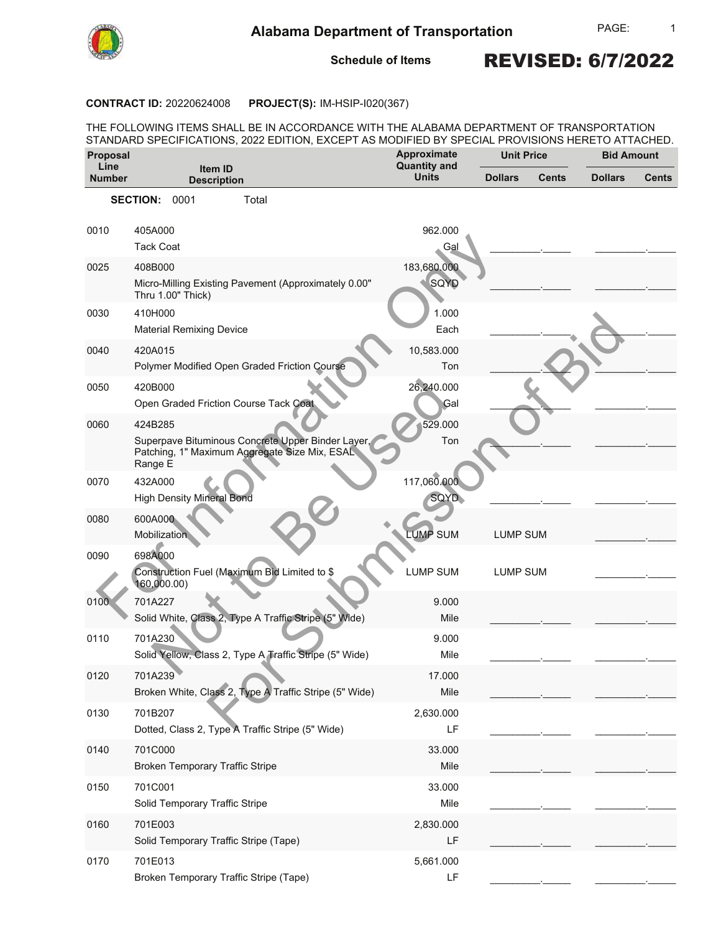

**Schedule of Items**

## REVISED: 6/7/2022

#### **CONTRACT ID: 20220624008 PROJECT(S): IM-HSIP-I020(367)**

THE FOLLOWING ITEMS SHALL BE IN ACCORDANCE WITH THE ALABAMA DEPARTMENT OF TRANSPORTATION STANDARD SPECIFICATIONS, 2022 EDITION, EXCEPT AS MODIFIED BY SPECIAL PROVISIONS HERETO ATTACHED.

| Proposal<br>Line |                                                                                                               | Approximate<br><b>Quantity and</b> | <b>Unit Price</b> |       | <b>Bid Amount</b> |              |
|------------------|---------------------------------------------------------------------------------------------------------------|------------------------------------|-------------------|-------|-------------------|--------------|
| <b>Number</b>    | Item ID<br><b>Description</b>                                                                                 | <b>Units</b>                       | <b>Dollars</b>    | Cents | <b>Dollars</b>    | <b>Cents</b> |
|                  | SECTION: 0001<br>Total                                                                                        |                                    |                   |       |                   |              |
|                  |                                                                                                               |                                    |                   |       |                   |              |
| 0010             | 405A000<br><b>Tack Coat</b>                                                                                   | 962.000<br>Gal                     |                   |       |                   |              |
| 0025             | 408B000                                                                                                       | 183,680.000                        |                   |       |                   |              |
|                  | Micro-Milling Existing Pavement (Approximately 0.00"<br>Thru 1.00" Thick)                                     | <b>SQYD</b>                        |                   |       |                   |              |
| 0030             | 410H000                                                                                                       | 1.000                              |                   |       |                   |              |
|                  | <b>Material Remixing Device</b>                                                                               | Each                               |                   |       |                   |              |
| 0040             | 420A015                                                                                                       | 10,583.000                         |                   |       |                   |              |
|                  | Polymer Modified Open Graded Friction Course                                                                  | Ton                                |                   |       |                   |              |
| 0050             | 420B000                                                                                                       | 26,240.000                         |                   |       |                   |              |
|                  | Open Graded Friction Course Tack Coat                                                                         | Gal                                |                   |       |                   |              |
| 0060             | 424B285                                                                                                       | 529.000                            |                   |       |                   |              |
|                  | Superpave Bituminous Concrete Upper Binder Layer,<br>Patching, 1" Maximum Aggregate Size Mix, ESAL<br>Range E | Ton                                |                   |       |                   |              |
| 0070             | 432A000                                                                                                       | 117,060.000                        |                   |       |                   |              |
|                  | <b>High Density Mineral Bond</b>                                                                              | SQYD                               |                   |       |                   |              |
| 0080             | 600A000<br>Mobilization                                                                                       | <b>LUMP SUM</b>                    | <b>LUMP SUM</b>   |       |                   |              |
| 0090             | 698A000<br>Construction Fuel (Maximum Bid Limited to \$<br>160,000.00)                                        | <b>LUMP SUM</b>                    | <b>LUMP SUM</b>   |       |                   |              |
| 0100             | 701A227                                                                                                       | 9.000                              |                   |       |                   |              |
|                  | Solid White, Class 2, Type A Traffic Stripe (5" Wide)                                                         | Mile                               |                   |       |                   |              |
| 0110             | 701A230                                                                                                       | 9.000                              |                   |       |                   |              |
|                  | Solid Yellow, Class 2, Type A Traffic Stripe (5" Wide)                                                        | Mile                               |                   |       |                   |              |
| 0120             | 701A239                                                                                                       | 17.000                             |                   |       |                   |              |
|                  | Broken White, Class 2, Type A Traffic Stripe (5" Wide)                                                        | Mile                               |                   |       |                   |              |
| 0130             | 701B207                                                                                                       | 2,630.000                          |                   |       |                   |              |
|                  | Dotted, Class 2, Type A Traffic Stripe (5" Wide)                                                              | LF                                 |                   |       |                   |              |
| 0140             | 701C000                                                                                                       | 33.000                             |                   |       |                   |              |
|                  | <b>Broken Temporary Traffic Stripe</b>                                                                        | Mile                               |                   |       |                   |              |
| 0150             | 701C001                                                                                                       | 33.000                             |                   |       |                   |              |
|                  | Solid Temporary Traffic Stripe                                                                                | Mile                               |                   |       |                   |              |
| 0160             | 701E003                                                                                                       | 2,830.000                          |                   |       |                   |              |
|                  | Solid Temporary Traffic Stripe (Tape)                                                                         | LF                                 |                   |       |                   |              |
| 0170             | 701E013                                                                                                       | 5,661.000                          |                   |       |                   |              |